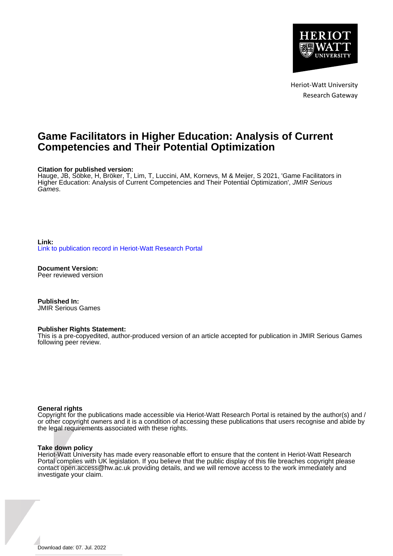

Heriot-Watt University Research Gateway

## **Game Facilitators in Higher Education: Analysis of Current Competencies and Their Potential Optimization**

#### **Citation for published version:**

Hauge, JB, Söbke, H, Bröker, T, Lim, T, Luccini, AM, Kornevs, M & Meijer, S 2021, 'Game Facilitators in Higher Education: Analysis of Current Competencies and Their Potential Optimization', JMIR Serious Games.

**Link:** [Link to publication record in Heriot-Watt Research Portal](https://researchportal.hw.ac.uk/en/publications/288eded7-4447-4974-882b-48dad058c596)

**Document Version:** Peer reviewed version

**Published In:** JMIR Serious Games

#### **Publisher Rights Statement:**

This is a pre-copyedited, author-produced version of an article accepted for publication in JMIR Serious Games following peer review.

#### **General rights**

Copyright for the publications made accessible via Heriot-Watt Research Portal is retained by the author(s) and / or other copyright owners and it is a condition of accessing these publications that users recognise and abide by the legal requirements associated with these rights.

#### **Take down policy**

Heriot-Watt University has made every reasonable effort to ensure that the content in Heriot-Watt Research Portal complies with UK legislation. If you believe that the public display of this file breaches copyright please contact open.access@hw.ac.uk providing details, and we will remove access to the work immediately and investigate your claim.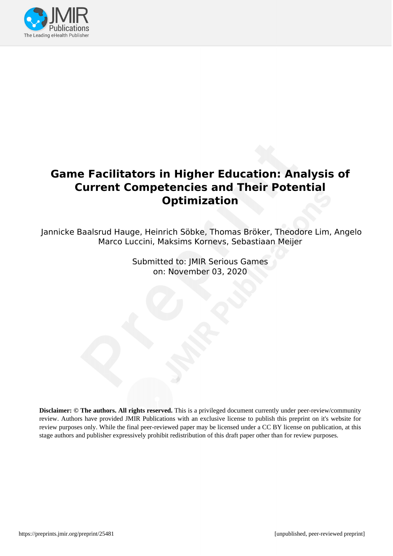

# **Game Facilitators in Higher Education: Analysis of Current Competencies and Their Potential Optimization**

Jannicke Baalsrud Hauge, Heinrich Söbke, Thomas Bröker, Theodore Lim, Angelo Marco Luccini, Maksims Kornevs, Sebastiaan Meijer

> Submitted to: JMIR Serious Games on: November 03, 2020

**Disclaimer: © The authors. All rights reserved.** This is a privileged document currently under peer-review/community review. Authors have provided JMIR Publications with an exclusive license to publish this preprint on it's website for review purposes only. While the final peer-reviewed paper may be licensed under a CC BY license on publication, at this stage authors and publisher expressively prohibit redistribution of this draft paper other than for review purposes.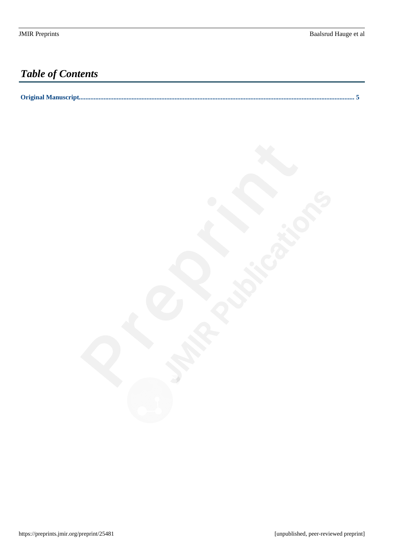# *Table of Contents*

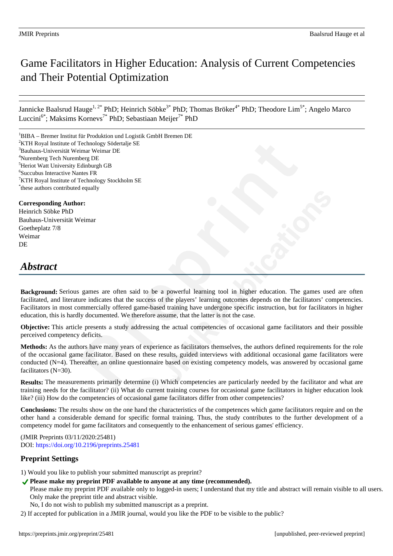# Game Facilitators in Higher Education: Analysis of Current Competencies and Their Potential Optimization

Jannicke Baalsrud Hauge<sup>1, 2\*</sup> PhD; Heinrich Söbke<sup>3\*</sup> PhD; Thomas Bröker<sup>4\*</sup> PhD; Theodore Lim<sup>5\*</sup>; Angelo Marco Luccini<sup>6\*</sup>; Maksims Kornevs<sup>7\*</sup> PhD; Sebastiaan Meijer<sup>7\*</sup> PhD

 ${}^{1}$ BIBA – Bremer Institut für Produktion und Logistik GmbH Bremen DE KTH Royal Institute of Technology Södertalje SE Bauhaus-Universität Weimar Weimar DE Nuremberg Tech Nuremberg DE Heriot Watt University Edinburgh GB Succubus Interactive Nantes FR KTH Royal Institute of Technology Stockholm SE \* these authors contributed equally

#### **Corresponding Author:**

Heinrich Söbke PhD Bauhaus-Universität Weimar Goetheplatz 7/8 Weimar **DE** 

## *Abstract*

**Background:** Serious games are often said to be a powerful learning tool in higher education. The games used are often facilitated, and literature indicates that the success of the players' learning outcomes depends on the facilitators' competencies. Facilitators in most commercially offered game-based training have undergone specific instruction, but for facilitators in higher education, this is hardly documented. We therefore assume, that the latter is not the case.

**Objective:** This article presents a study addressing the actual competencies of occasional game facilitators and their possible perceived competency deficits.

**Methods:** As the authors have many years of experience as facilitators themselves, the authors defined requirements for the role of the occasional game facilitator. Based on these results, guided interviews with additional occasional game facilitators were conducted (N=4). Thereafter, an online questionnaire based on existing competency models, was answered by occasional game facilitators (N=30).

**Results:** The measurements primarily determine (i) Which competencies are particularly needed by the facilitator and what are training needs for the facilitator? (ii) What do current training courses for occasional game facilitators in higher education look like? (iii) How do the competencies of occasional game facilitators differ from other competencies?

**Conclusions:** The results show on the one hand the characteristics of the competences which game facilitators require and on the other hand a considerable demand for specific formal training. Thus, the study contributes to the further development of a competency model for game facilitators and consequently to the enhancement of serious games' efficiency.

(JMIR Preprints 03/11/2020:25481) DOI: https://doi.org/10.2196/preprints.25481

#### **Preprint Settings**

1) Would you like to publish your submitted manuscript as preprint?

◆ Please make my preprint PDF available to anyone at any time (recommended).

Please make my preprint PDF available only to logged-in users; I understand that my title and abstract will remain visible to all users. Only make the preprint title and abstract visible.

- No, I do not wish to publish my submitted manuscript as a preprint.
- 2) If accepted for publication in a JMIR journal, would you like the PDF to be visible to the public?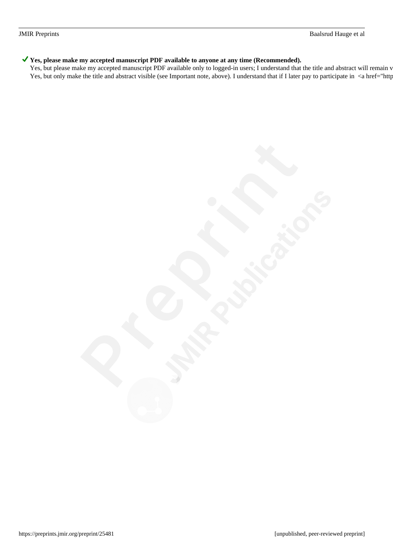#### ◆ Yes, please make my accepted manuscript PDF available to anyone at any time (Recommended).

Yes, but please make my accepted manuscript PDF available only to logged-in users; I understand that the title and abstract will remain v Yes, but only make the title and abstract visible (see Important note, above). I understand that if I later pay to participate in <a href="http://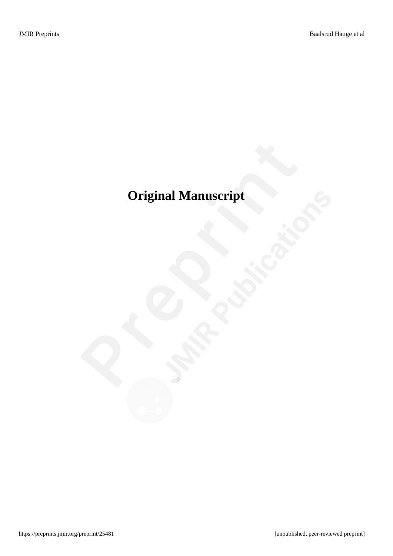# <span id="page-5-0"></span>**Original Manuscript**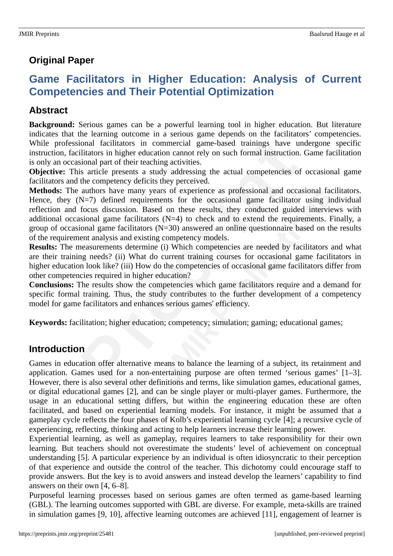## **Original Paper**

# **Game Facilitators in Higher Education: Analysis of Current Competencies and Their Potential Optimization**

### **Abstract**

**Background:** Serious games can be a powerful learning tool in higher education. But literature indicates that the learning outcome in a serious game depends on the facilitators' competencies. While professional facilitators in commercial game-based trainings have undergone specific instruction, facilitators in higher education cannot rely on such formal instruction. Game facilitation is only an occasional part of their teaching activities.

**Objective:** This article presents a study addressing the actual competencies of occasional game facilitators and the competency deficits they perceived.

**Methods:** The authors have many years of experience as professional and occasional facilitators. Hence, they (N=7) defined requirements for the occasional game facilitator using individual reflection and focus discussion. Based on these results, they conducted guided interviews with additional occasional game facilitators (N=4) to check and to extend the requirements. Finally, a group of occasional game facilitators  $(N=30)$  answered an online questionnaire based on the results of the requirement analysis and existing competency models.

**Results:** The measurements determine (i) Which competencies are needed by facilitators and what are their training needs? (ii) What do current training courses for occasional game facilitators in higher education look like? (iii) How do the competencies of occasional game facilitators differ from other competencies required in higher education?

**Conclusions:** The results show the competencies which game facilitators require and a demand for specific formal training. Thus, the study contributes to the further development of a competency model for game facilitators and enhances serious games' efficiency.

**Keywords:** facilitation; higher education; competency; simulation; gaming; educational games;

### **Introduction**

Games in education offer alternative means to balance the learning of a subject, its retainment and application. Games used for a non-entertaining purpose are often termed 'serious games' [1–3]. However, there is also several other definitions and terms, like simulation games, educational games, or digital educational games [2], and can be single player or multi-player games. Furthermore, the usage in an educational setting differs, but within the engineering education these are often facilitated, and based on experiential learning models. For instance, it might be assumed that a gameplay cycle reflects the four phases of Kolb's experiential learning cycle [4]; a recursive cycle of experiencing, reflecting, thinking and acting to help learners increase their learning power.

Experiential learning, as well as gameplay, requires learners to take responsibility for their own learning. But teachers should not overestimate the students' level of achievement on conceptual understanding [5]. A particular experience by an individual is often idiosyncratic to their perception of that experience and outside the control of the teacher. This dichotomy could encourage staff to provide answers. But the key is to avoid answers and instead develop the learners' capability to find answers on their own [4, 6–8].

Purposeful learning processes based on serious games are often termed as game-based learning (GBL). The learning outcomes supported with GBL are diverse. For example, meta-skills are trained in simulation games [9, 10], affective learning outcomes are achieved [11], engagement of learner is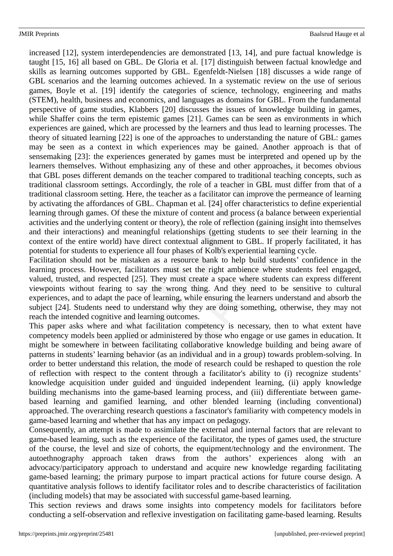increased [12], system interdependencies are demonstrated [13, 14], and pure factual knowledge is taught [15, 16] all based on GBL. De Gloria et al. [17] distinguish between factual knowledge and skills as learning outcomes supported by GBL. Egenfeldt-Nielsen [18] discusses a wide range of GBL scenarios and the learning outcomes achieved. In a systematic review on the use of serious games, Boyle et al. [19] identify the categories of science, technology, engineering and maths (STEM), health, business and economics, and languages as domains for GBL. From the fundamental perspective of game studies, Klabbers [20] discusses the issues of knowledge building in games, while Shaffer coins the term epistemic games [21]. Games can be seen as environments in which experiences are gained, which are processed by the learners and thus lead to learning processes. The theory of situated learning [22] is one of the approaches to understanding the nature of GBL: games may be seen as a context in which experiences may be gained. Another approach is that of sensemaking [23]: the experiences generated by games must be interpreted and opened up by the learners themselves. Without emphasizing any of these and other approaches, it becomes obvious that GBL poses different demands on the teacher compared to traditional teaching concepts, such as traditional classroom settings. Accordingly, the role of a teacher in GBL must differ from that of a traditional classroom setting. Here, the teacher as a facilitator can improve the permeance of learning by activating the affordances of GBL. Chapman et al. [24] offer characteristics to define experiential learning through games. Of these the mixture of content and process (a balance between experiential activities and the underlying content or theory), the role of reflection (gaining insight into themselves and their interactions) and meaningful relationships (getting students to see their learning in the context of the entire world) have direct contextual alignment to GBL. If properly facilitated, it has potential for students to experience all four phases of Kolb's experiential learning cycle.

Facilitation should not be mistaken as a resource bank to help build students' confidence in the learning process. However, facilitators must set the right ambience where students feel engaged, valued, trusted, and respected [25]. They must create a space where students can express different viewpoints without fearing to say the wrong thing. And they need to be sensitive to cultural experiences, and to adapt the pace of learning, while ensuring the learners understand and absorb the subject [24]. Students need to understand why they are doing something, otherwise, they may not reach the intended cognitive and learning outcomes.

This paper asks where and what facilitation competency is necessary, then to what extent have competency models been applied or administered by those who engage or use games in education. It might be somewhere in between facilitating collaborative knowledge building and being aware of patterns in students' learning behavior (as an individual and in a group) towards problem-solving. In order to better understand this relation, the mode of research could be reshaped to question the role of reflection with respect to the content through a facilitator's ability to (i) recognize students' knowledge acquisition under guided and unguided independent learning, (ii) apply knowledge building mechanisms into the game-based learning process, and (iii) differentiate between gamebased learning and gamified learning, and other blended learning (including conventional) approached. The overarching research questions a fascinator's familiarity with competency models in game-based learning and whether that has any impact on pedagogy.

Consequently, an attempt is made to assimilate the external and internal factors that are relevant to game-based learning, such as the experience of the facilitator, the types of games used, the structure of the course, the level and size of cohorts, the equipment/technology and the environment. The autoethnography approach taken draws from the authors' experiences along with an advocacy/participatory approach to understand and acquire new knowledge regarding facilitating game-based learning; the primary purpose to impart practical actions for future course design. A quantitative analysis follows to identify facilitator roles and to describe characteristics of facilitation (including models) that may be associated with successful game-based learning.

This section reviews and draws some insights into competency models for facilitators before conducting a self-observation and reflexive investigation on facilitating game-based learning. Results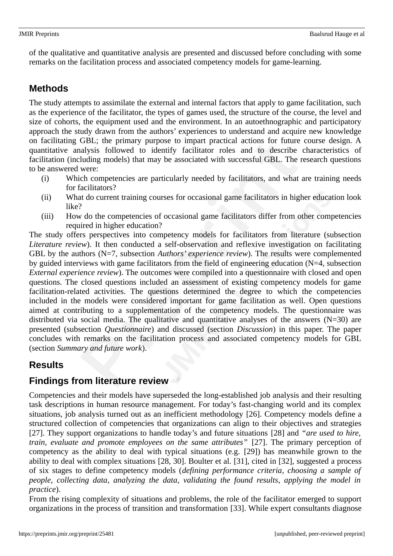of the qualitative and quantitative analysis are presented and discussed before concluding with some remarks on the facilitation process and associated competency models for game-learning.

## **Methods**

The study attempts to assimilate the external and internal factors that apply to game facilitation, such as the experience of the facilitator, the types of games used, the structure of the course, the level and size of cohorts, the equipment used and the environment. In an autoethnographic and participatory approach the study drawn from the authors' experiences to understand and acquire new knowledge on facilitating GBL; the primary purpose to impart practical actions for future course design. A quantitative analysis followed to identify facilitator roles and to describe characteristics of facilitation (including models) that may be associated with successful GBL. The research questions to be answered were:

- (i) Which competencies are particularly needed by facilitators, and what are training needs for facilitators?
- (ii) What do current training courses for occasional game facilitators in higher education look like?
- (iii) How do the competencies of occasional game facilitators differ from other competencies required in higher education?

The study offers perspectives into competency models for facilitators from literature (subsection *Literature review*). It then conducted a self-observation and reflexive investigation on facilitating GBL by the authors (N=7, subsection *Authors' experience review*). The results were complemented by guided interviews with game facilitators from the field of engineering education (N=4, subsection *External experience review*). The outcomes were compiled into a questionnaire with closed and open questions. The closed questions included an assessment of existing competency models for game facilitation-related activities. The questions determined the degree to which the competencies included in the models were considered important for game facilitation as well. Open questions aimed at contributing to a supplementation of the competency models. The questionnaire was distributed via social media. The qualitative and quantitative analyses of the answers (N=30) are presented (subsection *Questionnaire*) and discussed (section *Discussion*) in this paper. The paper concludes with remarks on the facilitation process and associated competency models for GBL (section *Summary and future work*).

### **Results**

### **Findings from literature review**

Competencies and their models have superseded the long-established job analysis and their resulting task descriptions in human resource management. For today's fast-changing world and its complex situations, job analysis turned out as an inefficient methodology [26]. Competency models define a structured collection of competencies that organizations can align to their objectives and strategies [27]. They support organizations to handle today's and future situations [28] and *"are used to hire, train, evaluate and promote employees on the same attributes"* [27]. The primary perception of competency as the ability to deal with typical situations (e.g. [29]) has meanwhile grown to the ability to deal with complex situations [28, 30]. Boulter et al. [31], cited in [32], suggested a process of six stages to define competency models (*defining performance criteria*, *choosing a sample of people*, *collecting data*, *analyzing the data*, *validating the found results*, *applying the model in practice*).

From the rising complexity of situations and problems, the role of the facilitator emerged to support organizations in the process of transition and transformation [33]. While expert consultants diagnose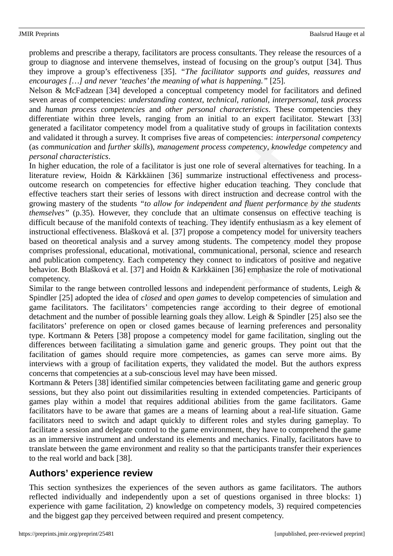problems and prescribe a therapy, facilitators are process consultants. They release the resources of a group to diagnose and intervene themselves, instead of focusing on the group's output [34]. Thus they improve a group's effectiveness [35]. *"The facilitator supports and guides, reassures and encourages […] and never 'teaches' the meaning of what is happening."* [25].

Nelson & McFadzean [34] developed a conceptual competency model for facilitators and defined seven areas of competencies: *understanding context*, *technical*, *rational*, *interpersonal*, *task process* and *human process competencies* and *other personal characteristics*. These competencies they differentiate within three levels, ranging from an initial to an expert facilitator. Stewart [33] generated a facilitator competency model from a qualitative study of groups in facilitation contexts and validated it through a survey. It comprises five areas of competencies: *interpersonal competency* (as *communication* and *further skills*), *management process competency*, *knowledge competency* and *personal characteristics*.

In higher education, the role of a facilitator is just one role of several alternatives for teaching. In a literature review, Hoidn & Kärkkäinen [36] summarize instructional effectiveness and processoutcome research on competencies for effective higher education teaching. They conclude that effective teachers start their series of lessons with direct instruction and decrease control with the growing mastery of the students *"to allow for independent and fluent performance by the students themselves"* (p.35). However, they conclude that an ultimate consensus on effective teaching is difficult because of the manifold contexts of teaching. They identify enthusiasm as a key element of instructional effectiveness. Blašková et al. [37] propose a competency model for university teachers based on theoretical analysis and a survey among students. The competency model they propose comprises professional, educational, motivational, communicational, personal, science and research and publication competency. Each competency they connect to indicators of positive and negative behavior. Both Blašková et al. [37] and Hoidn & Kärkkäinen [36] emphasize the role of motivational competency.

Similar to the range between controlled lessons and independent performance of students, Leigh & Spindler [25] adopted the idea of *closed* and *open games* to develop competencies of simulation and game facilitators. The facilitators' competencies range according to their degree of emotional detachment and the number of possible learning goals they allow. Leigh & Spindler [25] also see the facilitators' preference on open or closed games because of learning preferences and personality type. Kortmann & Peters [38] propose a competency model for game facilitation, singling out the differences between facilitating a simulation game and generic groups. They point out that the facilitation of games should require more competencies, as games can serve more aims. By interviews with a group of facilitation experts, they validated the model. But the authors express concerns that competencies at a sub-conscious level may have been missed.

Kortmann & Peters [38] identified similar competencies between facilitating game and generic group sessions, but they also point out dissimilarities resulting in extended competencies. Participants of games play within a model that requires additional abilities from the game facilitators. Game facilitators have to be aware that games are a means of learning about a real-life situation. Game facilitators need to switch and adapt quickly to different roles and styles during gameplay. To facilitate a session and delegate control to the game environment, they have to comprehend the game as an immersive instrument and understand its elements and mechanics. Finally, facilitators have to translate between the game environment and reality so that the participants transfer their experiences to the real world and back [38].

### **Authors' experience review**

This section synthesizes the experiences of the seven authors as game facilitators. The authors reflected individually and independently upon a set of questions organised in three blocks: 1) experience with game facilitation, 2) knowledge on competency models, 3) required competencies and the biggest gap they perceived between required and present competency.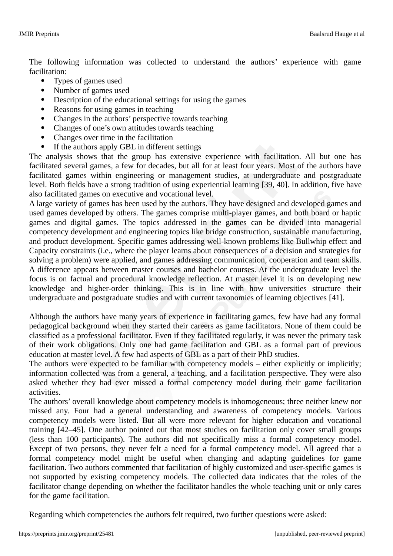The following information was collected to understand the authors' experience with game facilitation:

- Types of games used
- Number of games used
- Description of the educational settings for using the games
- Reasons for using games in teaching
- Changes in the authors' perspective towards teaching
- Changes of one's own attitudes towards teaching
- Changes over time in the facilitation
- If the authors apply GBL in different settings

The analysis shows that the group has extensive experience with facilitation. All but one has facilitated several games, a few for decades, but all for at least four years. Most of the authors have facilitated games within engineering or management studies, at undergraduate and postgraduate level. Both fields have a strong tradition of using experiential learning [39, 40]. In addition, five have also facilitated games on executive and vocational level.

A large variety of games has been used by the authors. They have designed and developed games and used games developed by others. The games comprise multi-player games, and both board or haptic games and digital games. The topics addressed in the games can be divided into managerial competency development and engineering topics like bridge construction, sustainable manufacturing, and product development. Specific games addressing well-known problems like Bullwhip effect and Capacity constraints (i.e., where the player learns about consequences of a decision and strategies for solving a problem) were applied, and games addressing communication, cooperation and team skills. A difference appears between master courses and bachelor courses. At the undergraduate level the focus is on factual and procedural knowledge reflection. At master level it is on developing new knowledge and higher-order thinking. This is in line with how universities structure their undergraduate and postgraduate studies and with current taxonomies of learning objectives [41].

Although the authors have many years of experience in facilitating games, few have had any formal pedagogical background when they started their careers as game facilitators. None of them could be classified as a professional facilitator. Even if they facilitated regularly, it was never the primary task of their work obligations. Only one had game facilitation and GBL as a formal part of previous education at master level. A few had aspects of GBL as a part of their PhD studies.

The authors were expected to be familiar with competency models – either explicitly or implicitly; information collected was from a general, a teaching, and a facilitation perspective. They were also asked whether they had ever missed a formal competency model during their game facilitation activities.

The authors' overall knowledge about competency models is inhomogeneous; three neither knew nor missed any. Four had a general understanding and awareness of competency models. Various competency models were listed. But all were more relevant for higher education and vocational training [42–45]. One author pointed out that most studies on facilitation only cover small groups (less than 100 participants). The authors did not specifically miss a formal competency model. Except of two persons, they never felt a need for a formal competency model. All agreed that a formal competency model might be useful when changing and adapting guidelines for game facilitation. Two authors commented that facilitation of highly customized and user-specific games is not supported by existing competency models. The collected data indicates that the roles of the facilitator change depending on whether the facilitator handles the whole teaching unit or only cares for the game facilitation.

Regarding which competencies the authors felt required, two further questions were asked: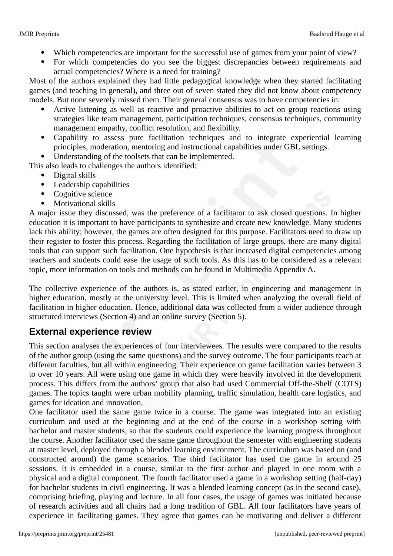- Which competencies are important for the successful use of games from your point of view?
- For which competencies do you see the biggest discrepancies between requirements and actual competencies? Where is a need for training?

Most of the authors explained they had little pedagogical knowledge when they started facilitating games (and teaching in general), and three out of seven stated they did not know about competency models. But none severely missed them. Their general consensus was to have competencies in:

- Active listening as well as reactive and proactive abilities to act on group reactions using strategies like team management, participation techniques, consensus techniques, community management empathy, conflict resolution, and flexibility.
- Capability to assess pure facilitation techniques and to integrate experiential learning principles, moderation, mentoring and instructional capabilities under GBL settings.
- Understanding of the toolsets that can be implemented.

This also leads to challenges the authors identified:

- Digital skills
- Leadership capabilities
- Cognitive science
- Motivational skills

A major issue they discussed, was the preference of a facilitator to ask closed questions. In higher education it is important to have participants to synthesize and create new knowledge. Many students lack this ability; however, the games are often designed for this purpose. Facilitators need to draw up their register to foster this process. Regarding the facilitation of large groups, there are many digital tools that can support such facilitation. One hypothesis is that increased digital competencies among teachers and students could ease the usage of such tools. As this has to be considered as a relevant topic, more information on tools and methods can be found in Multimedia Appendix A.

The collective experience of the authors is, as stated earlier, in engineering and management in higher education, mostly at the university level. This is limited when analyzing the overall field of facilitation in higher education. Hence, additional data was collected from a wider audience through structured interviews (Section 4) and an online survey (Section 5).

### **External experience review**

This section analyses the experiences of four interviewees. The results were compared to the results of the author group (using the same questions) and the survey outcome. The four participants teach at different faculties, but all within engineering. Their experience on game facilitation varies between 3 to over 10 years. All were using one game in which they were heavily involved in the development process. This differs from the authors' group that also had used Commercial Off-the-Shelf (COTS) games. The topics taught were urban mobility planning, traffic simulation, health care logistics, and games for ideation and innovation.

One facilitator used the same game twice in a course. The game was integrated into an existing curriculum and used at the beginning and at the end of the course in a workshop setting with bachelor and master students, so that the students could experience the learning progress throughout the course. Another facilitator used the same game throughout the semester with engineering students at master level, deployed through a blended learning environment. The curriculum was based on (and constructed around) the game scenarios. The third facilitator has used the game in around 25 sessions. It is embedded in a course, similar to the first author and played in one room with a physical and a digital component. The fourth facilitator used a game in a workshop setting (half-day) for bachelor students in civil engineering. It was a blended learning concept (as in the second case), comprising briefing, playing and lecture. In all four cases, the usage of games was initiated because of research activities and all chairs had a long tradition of GBL. All four facilitators have years of experience in facilitating games. They agree that games can be motivating and deliver a different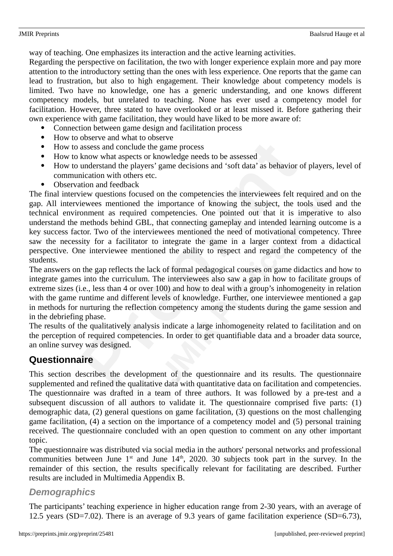way of teaching. One emphasizes its interaction and the active learning activities.

Regarding the perspective on facilitation, the two with longer experience explain more and pay more attention to the introductory setting than the ones with less experience. One reports that the game can lead to frustration, but also to high engagement. Their knowledge about competency models is limited. Two have no knowledge, one has a generic understanding, and one knows different competency models, but unrelated to teaching. None has ever used a competency model for facilitation. However, three stated to have overlooked or at least missed it. Before gathering their own experience with game facilitation, they would have liked to be more aware of:

- Connection between game design and facilitation process
- How to observe and what to observe
- How to assess and conclude the game process
- How to know what aspects or knowledge needs to be assessed
- How to understand the players' game decisions and 'soft data' as behavior of players, level of communication with others etc.
- Observation and feedback

The final interview questions focused on the competencies the interviewees felt required and on the gap. All interviewees mentioned the importance of knowing the subject, the tools used and the technical environment as required competencies. One pointed out that it is imperative to also understand the methods behind GBL, that connecting gameplay and intended learning outcome is a key success factor. Two of the interviewees mentioned the need of motivational competency. Three saw the necessity for a facilitator to integrate the game in a larger context from a didactical perspective. One interviewee mentioned the ability to respect and regard the competency of the students.

The answers on the gap reflects the lack of formal pedagogical courses on game didactics and how to integrate games into the curriculum. The interviewees also saw a gap in how to facilitate groups of extreme sizes (i.e., less than 4 or over 100) and how to deal with a group's inhomogeneity in relation with the game runtime and different levels of knowledge. Further, one interviewee mentioned a gap in methods for nurturing the reflection competency among the students during the game session and in the debriefing phase.

The results of the qualitatively analysis indicate a large inhomogeneity related to facilitation and on the perception of required competencies. In order to get quantifiable data and a broader data source, an online survey was designed.

## **Questionnaire**

This section describes the development of the questionnaire and its results. The questionnaire supplemented and refined the qualitative data with quantitative data on facilitation and competencies. The questionnaire was drafted in a team of three authors. It was followed by a pre-test and a subsequent discussion of all authors to validate it. The questionnaire comprised five parts: (1) demographic data, (2) general questions on game facilitation, (3) questions on the most challenging game facilitation, (4) a section on the importance of a competency model and (5) personal training received. The questionnaire concluded with an open question to comment on any other important topic.

The questionnaire was distributed via social media in the authors' personal networks and professional communities between June  $1<sup>st</sup>$  and June  $14<sup>th</sup>$ , 2020. 30 subjects took part in the survey. In the remainder of this section, the results specifically relevant for facilitating are described. Further results are included in Multimedia Appendix B.

### *Demographics*

The participants' teaching experience in higher education range from 2-30 years, with an average of 12.5 years (SD=7.02). There is an average of 9.3 years of game facilitation experience (SD=6.73),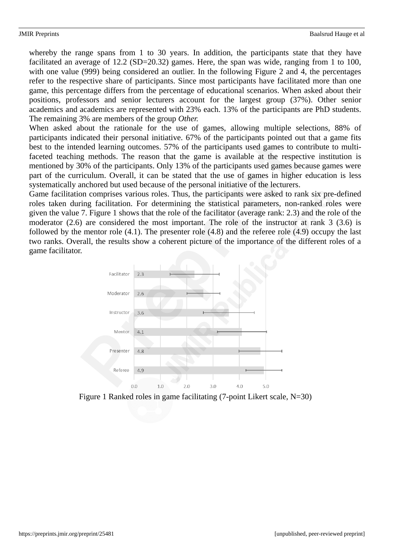whereby the range spans from 1 to 30 years. In addition, the participants state that they have facilitated an average of 12.2 (SD=20.32) games. Here, the span was wide, ranging from 1 to 100, with one value (999) being considered an outlier. In the following Figure 2 and 4, the percentages refer to the respective share of participants. Since most participants have facilitated more than one game, this percentage differs from the percentage of educational scenarios. When asked about their positions, professors and senior lecturers account for the largest group (37%). Other senior academics and academics are represented with 23% each. 13% of the participants are PhD students. The remaining 3% are members of the group *Other.*

When asked about the rationale for the use of games, allowing multiple selections, 88% of participants indicated their personal initiative. 67% of the participants pointed out that a game fits best to the intended learning outcomes. 57% of the participants used games to contribute to multifaceted teaching methods. The reason that the game is available at the respective institution is mentioned by 30% of the participants. Only 13% of the participants used games because games were part of the curriculum. Overall, it can be stated that the use of games in higher education is less systematically anchored but used because of the personal initiative of the lecturers.

Game facilitation comprises various roles. Thus, the participants were asked to rank six pre-defined roles taken during facilitation. For determining the statistical parameters, non-ranked roles were given the value 7. Figure 1 shows that the role of the facilitator (average rank: 2.3) and the role of the moderator (2.6) are considered the most important. The role of the instructor at rank 3 (3.6) is followed by the mentor role (4.1). The presenter role (4.8) and the referee role (4.9) occupy the last two ranks. Overall, the results show a coherent picture of the importance of the different roles of a game facilitator.



Figure 1 Ranked roles in game facilitating (7-point Likert scale, N=30)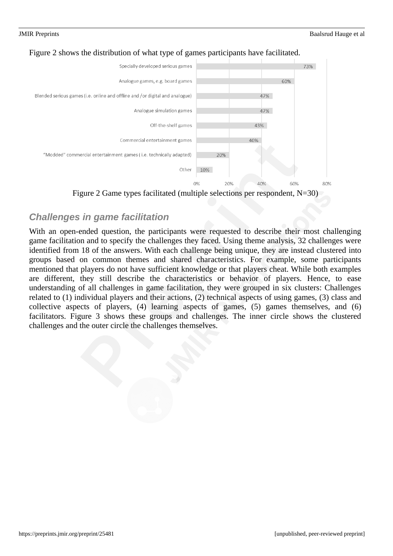





### *Challenges in game facilitation*

With an open-ended question, the participants were requested to describe their most challenging game facilitation and to specify the challenges they faced. Using theme analysis, 32 challenges were identified from 18 of the answers. With each challenge being unique, they are instead clustered into groups based on common themes and shared characteristics. For example, some participants mentioned that players do not have sufficient knowledge or that players cheat. While both examples are different, they still describe the characteristics or behavior of players. Hence, to ease understanding of all challenges in game facilitation, they were grouped in six clusters: Challenges related to (1) individual players and their actions, (2) technical aspects of using games, (3) class and collective aspects of players, (4) learning aspects of games, (5) games themselves, and (6) facilitators. Figure 3 shows these groups and challenges. The inner circle shows the clustered challenges and the outer circle the challenges themselves.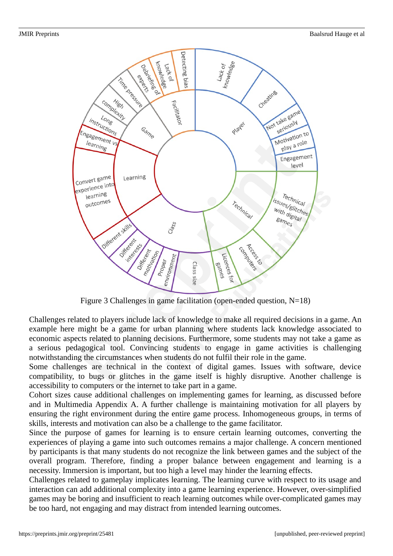

Figure 3 Challenges in game facilitation (open-ended question, N=18)

Challenges related to players include lack of knowledge to make all required decisions in a game. An example here might be a game for urban planning where students lack knowledge associated to economic aspects related to planning decisions. Furthermore, some students may not take a game as a serious pedagogical tool. Convincing students to engage in game activities is challenging notwithstanding the circumstances when students do not fulfil their role in the game.

Some challenges are technical in the context of digital games. Issues with software, device compatibility, to bugs or glitches in the game itself is highly disruptive. Another challenge is accessibility to computers or the internet to take part in a game.

Cohort sizes cause additional challenges on implementing games for learning, as discussed before and in Multimedia Appendix A. A further challenge is maintaining motivation for all players by ensuring the right environment during the entire game process. Inhomogeneous groups, in terms of skills, interests and motivation can also be a challenge to the game facilitator.

Since the purpose of games for learning is to ensure certain learning outcomes, converting the experiences of playing a game into such outcomes remains a major challenge. A concern mentioned by participants is that many students do not recognize the link between games and the subject of the overall program. Therefore, finding a proper balance between engagement and learning is a necessity. Immersion is important, but too high a level may hinder the learning effects.

Challenges related to gameplay implicates learning. The learning curve with respect to its usage and interaction can add additional complexity into a game learning experience. However, over-simplified games may be boring and insufficient to reach learning outcomes while over-complicated games may be too hard, not engaging and may distract from intended learning outcomes.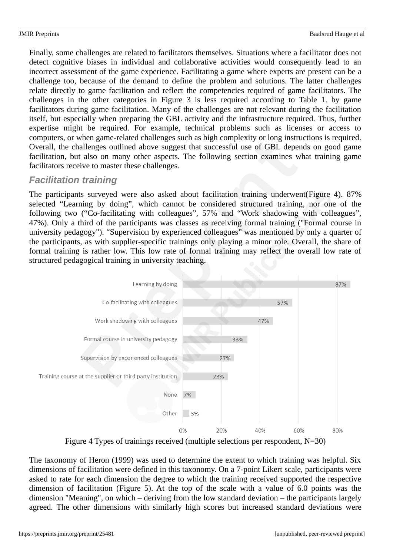Finally, some challenges are related to facilitators themselves. Situations where a facilitator does not detect cognitive biases in individual and collaborative activities would consequently lead to an incorrect assessment of the game experience. Facilitating a game where experts are present can be a challenge too, because of the demand to define the problem and solutions. The latter challenges relate directly to game facilitation and reflect the competencies required of game facilitators. The challenges in the other categories in Figure 3 is less required according to Table 1. by game facilitators during game facilitation. Many of the challenges are not relevant during the facilitation itself, but especially when preparing the GBL activity and the infrastructure required. Thus, further expertise might be required. For example, technical problems such as licenses or access to computers, or when game-related challenges such as high complexity or long instructions is required. Overall, the challenges outlined above suggest that successful use of GBL depends on good game facilitation, but also on many other aspects. The following section examines what training game facilitators receive to master these challenges.

### *Facilitation training*

The participants surveyed were also asked about facilitation training underwent(Figure 4). 87% selected "Learning by doing", which cannot be considered structured training, nor one of the following two ("Co-facilitating with colleagues", 57% and "Work shadowing with colleagues", 47%). Only a third of the participants was classes as receiving formal training ("Formal course in university pedagogy"). "Supervision by experienced colleagues" was mentioned by only a quarter of the participants, as with supplier-specific trainings only playing a minor role. Overall, the share of formal training is rather low. This low rate of formal training may reflect the overall low rate of structured pedagogical training in university teaching.



Figure 4 Types of trainings received (multiple selections per respondent, N=30)

The taxonomy of Heron (1999) was used to determine the extent to which training was helpful. Six dimensions of facilitation were defined in this taxonomy. On a 7-point Likert scale, participants were asked to rate for each dimension the degree to which the training received supported the respective dimension of facilitation (Figure 5). At the top of the scale with a value of 6.0 points was the dimension "Meaning", on which – deriving from the low standard deviation – the participants largely agreed. The other dimensions with similarly high scores but increased standard deviations were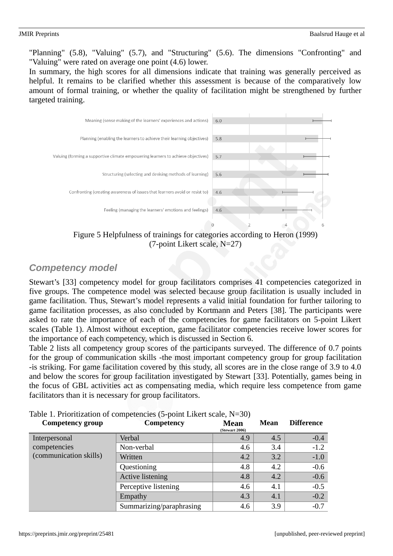"Planning" (5.8), "Valuing" (5.7), and "Structuring" (5.6). The dimensions "Confronting" and "Valuing" were rated on average one point (4.6) lower.

In summary, the high scores for all dimensions indicate that training was generally perceived as helpful. It remains to be clarified whether this assessment is because of the comparatively low amount of formal training, or whether the quality of facilitation might be strengthened by further targeted training.



(7-point Likert scale, N=27)

### *Competency model*

Stewart's [33] competency model for group facilitators comprises 41 competencies categorized in five groups. The competence model was selected because group facilitation is usually included in game facilitation. Thus, Stewart's model represents a valid initial foundation for further tailoring to game facilitation processes, as also concluded by Kortmann and Peters [38]. The participants were asked to rate the importance of each of the competencies for game facilitators on 5-point Likert scales (Table 1). Almost without exception, game facilitator competencies receive lower scores for the importance of each competency, which is discussed in Section 6.

Table 2 lists all competency group scores of the participants surveyed. The difference of 0.7 points for the group of communication skills -the most important competency group for group facilitation -is striking. For game facilitation covered by this study, all scores are in the close range of 3.9 to 4.0 and below the scores for group facilitation investigated by Stewart [33]. Potentially, games being in the focus of GBL activities act as compensating media, which require less competence from game facilitators than it is necessary for group facilitators.

| <b>Competency group</b> | Competency               | <b>Mean</b><br><b>(Stewart 2006)</b> | Mean | <b>Difference</b> |
|-------------------------|--------------------------|--------------------------------------|------|-------------------|
| Interpersonal           | Verbal                   | 4.9                                  | 4.5  | $-0.4$            |
| competencies            | Non-verbal               | 4.6                                  | 3.4  | $-1.2$            |
| (communication skills)  | Written                  | 4.2                                  | 3.2  | $-1.0$            |
|                         | Questioning              | 4.8                                  | 4.2  | $-0.6$            |
|                         | <b>Active listening</b>  | 4.8                                  | 4.2  | $-0.6$            |
|                         | Perceptive listening     | 4.6                                  | 4.1  | $-0.5$            |
|                         | Empathy                  | 4.3                                  | 4.1  | $-0.2$            |
|                         | Summarizing/paraphrasing | 4.6                                  | 3.9  | $-0.7$            |

Table 1. Prioritization of competencies (5-point Likert scale, N=30)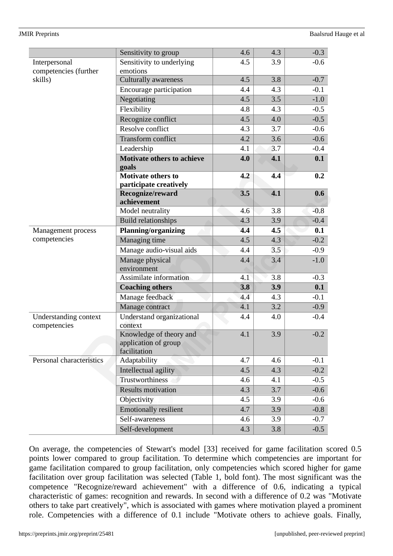| <b>JMIR</b> Preprints | Baalsrud Hauge et al |
|-----------------------|----------------------|
|-----------------------|----------------------|

|                                              | Sensitivity to group                                            | 4.6 | 4.3 | $-0.3$ |
|----------------------------------------------|-----------------------------------------------------------------|-----|-----|--------|
| Interpersonal                                | Sensitivity to underlying                                       | 4.5 | 3.9 | $-0.6$ |
| competencies (further                        | emotions                                                        |     |     |        |
| skills)                                      | <b>Culturally awareness</b>                                     | 4.5 | 3.8 | $-0.7$ |
|                                              | Encourage participation                                         | 4.4 | 4.3 | $-0.1$ |
|                                              | Negotiating                                                     | 4.5 | 3.5 | $-1.0$ |
|                                              | Flexibility                                                     | 4.8 | 4.3 | $-0.5$ |
|                                              | Recognize conflict                                              | 4.5 | 4.0 | $-0.5$ |
|                                              | Resolve conflict                                                | 4.3 | 3.7 | $-0.6$ |
|                                              | Transform conflict                                              | 4.2 | 3.6 | $-0.6$ |
|                                              | Leadership                                                      | 4.1 | 3.7 | $-0.4$ |
|                                              | <b>Motivate others to achieve</b>                               | 4.0 | 4.1 | 0.1    |
|                                              | goals                                                           |     |     |        |
|                                              | <b>Motivate others to</b>                                       | 4.2 | 4.4 | 0.2    |
|                                              | participate creatively                                          |     |     |        |
|                                              | Recognize/reward<br>achievement                                 | 3.5 | 4.1 | 0.6    |
|                                              | Model neutrality                                                | 4.6 | 3.8 | $-0.8$ |
|                                              | <b>Build relationships</b>                                      | 4.3 | 3.9 | $-0.4$ |
| Management process                           | <b>Planning/organizing</b>                                      | 4.4 | 4.5 | 0.1    |
| competencies                                 | Managing time                                                   | 4.5 | 4.3 | $-0.2$ |
|                                              | Manage audio-visual aids                                        | 4.4 | 3.5 | $-0.9$ |
|                                              | Manage physical<br>environment                                  | 4.4 | 3.4 | $-1.0$ |
|                                              | Assimilate information                                          | 4.1 | 3.8 | $-0.3$ |
|                                              | <b>Coaching others</b>                                          | 3.8 | 3.9 | 0.1    |
|                                              | Manage feedback                                                 | 4.4 | 4.3 | $-0.1$ |
|                                              | Manage contract                                                 | 4.1 | 3.2 | $-0.9$ |
| <b>Understanding context</b><br>competencies | Understand organizational<br>context                            | 4.4 | 4.0 | $-0.4$ |
|                                              | Knowledge of theory and<br>application of group<br>facilitation | 4.1 | 3.9 | $-0.2$ |
| Personal characteristics                     | Adaptability                                                    | 4.7 | 4.6 | $-0.1$ |
|                                              | Intellectual agility                                            | 4.5 | 4.3 | $-0.2$ |
|                                              | Trustworthiness                                                 | 4.6 | 4.1 | $-0.5$ |
|                                              | <b>Results motivation</b>                                       | 4.3 | 3.7 | $-0.6$ |
|                                              | Objectivity                                                     | 4.5 | 3.9 | $-0.6$ |
|                                              | <b>Emotionally resilient</b>                                    | 4.7 | 3.9 | $-0.8$ |
|                                              | Self-awareness                                                  | 4.6 | 3.9 | $-0.7$ |
|                                              | Self-development                                                | 4.3 | 3.8 | $-0.5$ |

On average, the competencies of Stewart's model [33] received for game facilitation scored 0.5 points lower compared to group facilitation. To determine which competencies are important for game facilitation compared to group facilitation, only competencies which scored higher for game facilitation over group facilitation was selected (Table 1, bold font). The most significant was the competence "Recognize/reward achievement" with a difference of 0.6, indicating a typical characteristic of games: recognition and rewards. In second with a difference of 0.2 was "Motivate others to take part creatively", which is associated with games where motivation played a prominent role. Competencies with a difference of 0.1 include "Motivate others to achieve goals. Finally,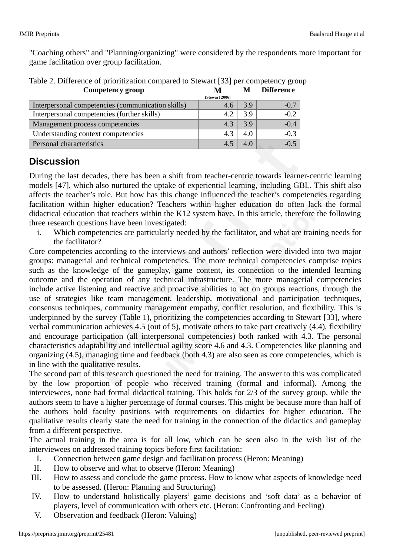"Coaching others" and "Planning/organizing" were considered by the respondents more important for game facilitation over group facilitation.

| Competency group                                  | M              | M   | Difference |
|---------------------------------------------------|----------------|-----|------------|
|                                                   | (Stewart 2006) |     |            |
| Interpersonal competencies (communication skills) | 4.6            | 3.9 | $-0.7$     |
| Interpersonal competencies (further skills)       | 4.2            | 3.9 | $-0.2$     |
| Management process competencies                   | 4.3            | 3.9 | $-0.4$     |
| Understanding context competencies                | 4.3            | 4.0 | $-0.3$     |
| Personal characteristics                          | 4.5            | 4.0 | $-0.5$     |

Table 2. Difference of prioritization compared to Stewart [33] per competency group **Competency group M M Difference**

## **Discussion**

During the last decades, there has been a shift from teacher-centric towards learner-centric learning models [47], which also nurtured the uptake of experiential learning, including GBL. This shift also affects the teacher's role. But how has this change influenced the teacher's competencies regarding facilitation within higher education? Teachers within higher education do often lack the formal didactical education that teachers within the K12 system have. In this article, therefore the following three research questions have been investigated:

i. Which competencies are particularly needed by the facilitator, and what are training needs for the facilitator?

Core competencies according to the interviews and authors' reflection were divided into two major groups: managerial and technical competencies. The more technical competencies comprise topics such as the knowledge of the gameplay, game content, its connection to the intended learning outcome and the operation of any technical infrastructure. The more managerial competencies include active listening and reactive and proactive abilities to act on groups reactions, through the use of strategies like team management, leadership, motivational and participation techniques, consensus techniques, community management empathy, conflict resolution, and flexibility. This is underpinned by the survey (Table 1), prioritizing the competencies according to Stewart [33], where verbal communication achieves 4.5 (out of 5), motivate others to take part creatively (4.4), flexibility and encourage participation (all interpersonal competencies) both ranked with 4.3. The personal characteristics adaptability and intellectual agility score 4.6 and 4.3. Competencies like planning and organizing (4.5), managing time and feedback (both 4.3) are also seen as core competencies, which is in line with the qualitative results.

The second part of this research questioned the need for training. The answer to this was complicated by the low proportion of people who received training (formal and informal). Among the interviewees, none had formal didactical training. This holds for 2/3 of the survey group, while the authors seem to have a higher percentage of formal courses. This might be because more than half of the authors hold faculty positions with requirements on didactics for higher education. The qualitative results clearly state the need for training in the connection of the didactics and gameplay from a different perspective.

The actual training in the area is for all low, which can be seen also in the wish list of the interviewees on addressed training topics before first facilitation:

- I. Connection between game design and facilitation process (Heron: Meaning)
- II. How to observe and what to observe (Heron: Meaning)
- III. How to assess and conclude the game process. How to know what aspects of knowledge need to be assessed. (Heron: Planning and Structuring)
- IV. How to understand holistically players' game decisions and 'soft data' as a behavior of players, level of communication with others etc. (Heron: Confronting and Feeling)
- V. Observation and feedback (Heron: Valuing)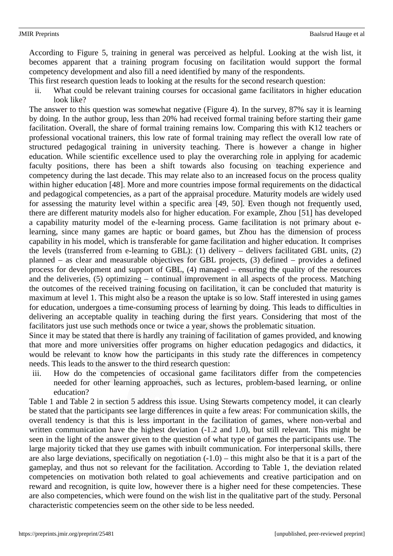According to Figure 5, training in general was perceived as helpful. Looking at the wish list, it becomes apparent that a training program focusing on facilitation would support the formal competency development and also fill a need identified by many of the respondents.

- This first research question leads to looking at the results for the second research question:
	- ii. What could be relevant training courses for occasional game facilitators in higher education look like?

The answer to this question was somewhat negative (Figure 4). In the survey, 87% say it is learning by doing. In the author group, less than 20% had received formal training before starting their game facilitation. Overall, the share of formal training remains low. Comparing this with K12 teachers or professional vocational trainers, this low rate of formal training may reflect the overall low rate of structured pedagogical training in university teaching. There is however a change in higher education. While scientific excellence used to play the overarching role in applying for academic faculty positions, there has been a shift towards also focusing on teaching experience and competency during the last decade. This may relate also to an increased focus on the process quality within higher education [48]. More and more countries impose formal requirements on the didactical and pedagogical competencies, as a part of the appraisal procedure. Maturity models are widely used for assessing the maturity level within a specific area [49, 50]. Even though not frequently used, there are different maturity models also for higher education. For example, Zhou [51] has developed a capability maturity model of the e-learning process. Game facilitation is not primary about elearning, since many games are haptic or board games, but Zhou has the dimension of process capability in his model, which is transferable for game facilitation and higher education. It comprises the levels (transferred from e-learning to GBL): (1) delivery – delivers facilitated GBL units, (2) planned – as clear and measurable objectives for GBL projects, (3) defined – provides a defined process for development and support of GBL, (4) managed – ensuring the quality of the resources and the deliveries, (5) optimizing – continual improvement in all aspects of the process. Matching the outcomes of the received training focusing on facilitation, it can be concluded that maturity is maximum at level 1. This might also be a reason the uptake is so low. Staff interested in using games for education, undergoes a time-consuming process of learning by doing. This leads to difficulties in delivering an acceptable quality in teaching during the first years. Considering that most of the facilitators just use such methods once or twice a year, shows the problematic situation.

Since it may be stated that there is hardly any training of facilitation of games provided, and knowing that more and more universities offer programs on higher education pedagogics and didactics, it would be relevant to know how the participants in this study rate the differences in competency needs. This leads to the answer to the third research question:

iii. How do the competencies of occasional game facilitators differ from the competencies needed for other learning approaches, such as lectures, problem-based learning, or online education?

Table 1 and Table 2 in section 5 address this issue. Using Stewarts competency model, it can clearly be stated that the participants see large differences in quite a few areas: For communication skills, the overall tendency is that this is less important in the facilitation of games, where non-verbal and written communication have the highest deviation (-1.2 and 1.0), but still relevant. This might be seen in the light of the answer given to the question of what type of games the participants use. The large majority ticked that they use games with inbuilt communication. For interpersonal skills, there are also large deviations, specifically on negotiation (-1.0) – this might also be that it is a part of the gameplay, and thus not so relevant for the facilitation. According to Table 1, the deviation related competencies on motivation both related to goal achievements and creative participation and on reward and recognition, is quite low, however there is a higher need for these competencies. These are also competencies, which were found on the wish list in the qualitative part of the study. Personal characteristic competencies seem on the other side to be less needed.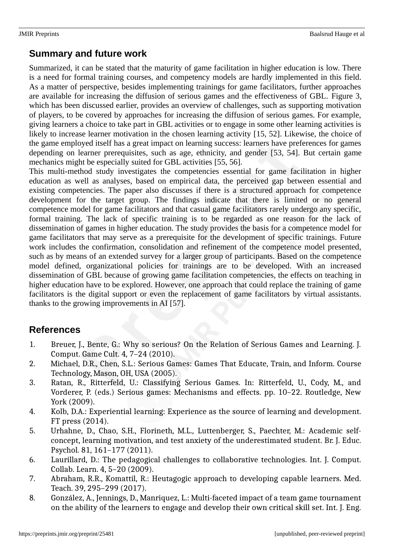### **Summary and future work**

Summarized, it can be stated that the maturity of game facilitation in higher education is low. There is a need for formal training courses, and competency models are hardly implemented in this field. As a matter of perspective, besides implementing trainings for game facilitators, further approaches are available for increasing the diffusion of serious games and the effectiveness of GBL. Figure 3, which has been discussed earlier, provides an overview of challenges, such as supporting motivation of players, to be covered by approaches for increasing the diffusion of serious games. For example, giving learners a choice to take part in GBL activities or to engage in some other learning activities is likely to increase learner motivation in the chosen learning activity [15, 52]. Likewise, the choice of the game employed itself has a great impact on learning success: learners have preferences for games depending on learner prerequisites, such as age, ethnicity, and gender [53, 54]. But certain game mechanics might be especially suited for GBL activities [55, 56].

This multi-method study investigates the competencies essential for game facilitation in higher education as well as analyses, based on empirical data, the perceived gap between essential and existing competencies. The paper also discusses if there is a structured approach for competence development for the target group. The findings indicate that there is limited or no general competence model for game facilitators and that casual game facilitators rarely undergo any specific, formal training. The lack of specific training is to be regarded as one reason for the lack of dissemination of games in higher education. The study provides the basis for a competence model for game facilitators that may serve as a prerequisite for the development of specific trainings. Future work includes the confirmation, consolidation and refinement of the competence model presented, such as by means of an extended survey for a larger group of participants. Based on the competence model defined, organizational policies for trainings are to be developed. With an increased dissemination of GBL because of growing game facilitation competencies, the effects on teaching in higher education have to be explored. However, one approach that could replace the training of game facilitators is the digital support or even the replacement of game facilitators by virtual assistants. thanks to the growing improvements in AI [57].

### **References**

- 1. Breuer, J., Bente, G.: Why so serious? On the Relation of Serious Games and Learning. J. Comput. Game Cult. 4, 7–24 (2010).
- 2. Michael, D.R., Chen, S.L.: Serious Games: Games That Educate, Train, and Inform. Course Technology, Mason, OH, USA (2005).
- 3. Ratan, R., Ritterfeld, U.: Classifying Serious Games. In: Ritterfeld, U., Cody, M., and Vorderer, P. (eds.) Serious games: Mechanisms and effects. pp. 10–22. Routledge, New York (2009).
- 4. Kolb, D.A.: Experiential learning: Experience as the source of learning and development. FT press (2014).
- 5. Urhahne, D., Chao, S.H., Florineth, M.L., Luttenberger, S., Paechter, M.: Academic selfconcept, learning motivation, and test anxiety of the underestimated student. Br. J. Educ. Psychol. 81, 161–177 (2011).
- 6. Laurillard, D.: The pedagogical challenges to collaborative technologies. Int. J. Comput. Collab. Learn. 4, 5–20 (2009).
- 7. Abraham, R.R., Komattil, R.: Heutagogic approach to developing capable learners. Med. Teach. 39, 295–299 (2017).
- 8. González, A., Jennings, D., Manriquez, L.: Multi-faceted impact of a team game tournament on the ability of the learners to engage and develop their own critical skill set. Int. J. Eng.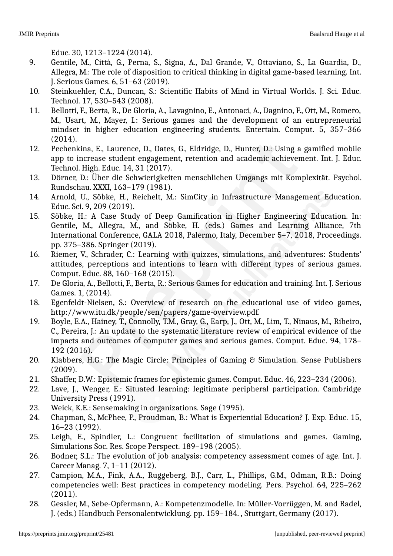Educ. 30, 1213–1224 (2014).

- 9. Gentile, M., Città, G., Perna, S., Signa, A., Dal Grande, V., Ottaviano, S., La Guardia, D., Allegra, M.: The role of disposition to critical thinking in digital game-based learning. Int. J. Serious Games. 6, 51–63 (2019).
- 10. Steinkuehler, C.A., Duncan, S.: Scientific Habits of Mind in Virtual Worlds. J. Sci. Educ. Technol. 17, 530–543 (2008).
- 11. Bellotti, F., Berta, R., De Gloria, A., Lavagnino, E., Antonaci, A., Dagnino, F., Ott, M., Romero, M., Usart, M., Mayer, I.: Serious games and the development of an entrepreneurial mindset in higher education engineering students. Entertain. Comput. 5, 357–366 (2014).
- 12. Pechenkina, E., Laurence, D., Oates, G., Eldridge, D., Hunter, D.: Using a gamified mobile app to increase student engagement, retention and academic achievement. Int. J. Educ. Technol. High. Educ. 14, 31 (2017).
- 13. Dörner, D.: Über die Schwierigkeiten menschlichen Umgangs mit Komplexität. Psychol. Rundschau. XXXI, 163–179 (1981).
- 14. Arnold, U., Söbke, H., Reichelt, M.: SimCity in Infrastructure Management Education. Educ. Sci. 9, 209 (2019).
- 15. Söbke, H.: A Case Study of Deep Gamification in Higher Engineering Education. In: Gentile, M., Allegra, M., and Söbke, H. (eds.) Games and Learning Alliance, 7th International Conference, GALA 2018, Palermo, Italy, December 5–7, 2018, Proceedings. pp. 375–386. Springer (2019).
- 16. Riemer, V., Schrader, C.: Learning with quizzes, simulations, and adventures: Students' attitudes, perceptions and intentions to learn with different types of serious games. Comput. Educ. 88, 160–168 (2015).
- 17. De Gloria, A., Bellotti, F., Berta, R.: Serious Games for education and training. Int. J. Serious Games. 1, (2014).
- 18. Egenfeldt-Nielsen, S.: Overview of research on the educational use of video games, http://www.itu.dk/people/sen/papers/game-overview.pdf.
- 19. Boyle, E.A., Hainey, T., Connolly, T.M., Gray, G., Earp, J., Ott, M., Lim, T., Ninaus, M., Ribeiro, C., Pereira, J.: An update to the systematic literature review of empirical evidence of the impacts and outcomes of computer games and serious games. Comput. Educ. 94, 178– 192 (2016).
- 20. Klabbers, H.G.: The Magic Circle: Principles of Gaming & Simulation. Sense Publishers (2009).
- 21. Shaffer, D.W.: Epistemic frames for epistemic games. Comput. Educ. 46, 223–234 (2006).
- 22. Lave, J., Wenger, E.: Situated learning: legitimate peripheral participation. Cambridge University Press (1991).
- 23. Weick, K.E.: Sensemaking in organizations. Sage (1995).
- 24. Chapman, S., McPhee, P., Proudman, B.: What is Experiential Education? J. Exp. Educ. 15, 16–23 (1992).
- 25. Leigh, E., Spindler, L.: Congruent facilitation of simulations and games. Gaming, Simulations Soc. Res. Scope Perspect. 189–198 (2005).
- 26. Bodner, S.L.: The evolution of job analysis: competency assessment comes of age. Int. J. Career Manag. 7, 1–11 (2012).
- 27. Campion, M.A., Fink, A.A., Ruggeberg, B.J., Carr, L., Phillips, G.M., Odman, R.B.: Doing competencies well: Best practices in competency modeling. Pers. Psychol. 64, 225–262 (2011).
- 28. Gessler, M., Sebe-Opfermann, A.: Kompetenzmodelle. In: Müller-Vorrüggen, M. and Radel, J. (eds.) Handbuch Personalentwicklung. pp. 159–184. , Stuttgart, Germany (2017).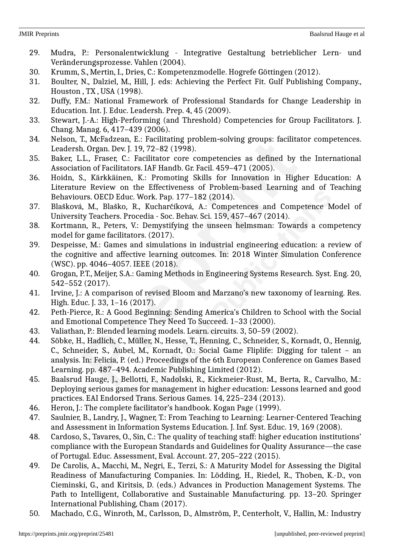- 29. Mudra, P.: Personalentwicklung Integrative Gestaltung betrieblicher Lern- und Veränderungsprozesse. Vahlen (2004).
- 30. Krumm, S., Mertin, I., Dries, C.: Kompetenzmodelle. Hogrefe Göttingen (2012).
- 31. Boulter, N., Dalziel, M., Hill, J. eds: Achieving the Perfect Fit. Gulf Publishing Company., Houston , TX , USA (1998).
- 32. Duffy, F.M.: National Framework of Professional Standards for Change Leadership in Education. Int. J. Educ. Leadersh. Prep. 4, 45 (2009).
- 33. Stewart, J.-A.: High-Performing (and Threshold) Competencies for Group Facilitators. J. Chang. Manag. 6, 417–439 (2006).
- 34. Nelson, T., McFadzean, E.: Facilitating problem-solving groups: facilitator competences. Leadersh. Organ. Dev. J. 19, 72–82 (1998).
- 35. Baker, L.L., Fraser, C.: Facilitator core competencies as defined by the International Association of Facilitators. IAF Handb. Gr. Facil. 459–471 (2005).
- 36. Hoidn, S., Kärkkäinen, K.: Promoting Skills for Innovation in Higher Education: A Literature Review on the Effectiveness of Problem-based Learning and of Teaching Behaviours. OECD Educ. Work. Pap. 177–182 (2014).
- 37. Blašková, M., Blaško, R., Kucharčíková, A.: Competences and Competence Model of University Teachers. Procedia - Soc. Behav. Sci. 159, 457–467 (2014).
- 38. Kortmann, R., Peters, V.: Demystifying the unseen helmsman: Towards a competency model for game facilitators. (2017).
- 39. Despeisse, M.: Games and simulations in industrial engineering education: a review of the cognitive and affective learning outcomes. In: 2018 Winter Simulation Conference (WSC). pp. 4046–4057. IEEE (2018).
- 40. Grogan, P.T., Meijer, S.A.: Gaming Methods in Engineering Systems Research. Syst. Eng. 20, 542–552 (2017).
- 41. Irvine, J.: A comparison of revised Bloom and Marzano's new taxonomy of learning. Res. High. Educ. J. 33, 1-16 (2017).
- 42. Peth-Pierce, R.: A Good Beginning: Sending America's Children to School with the Social and Emotional Competence They Need To Succeed. 1–33 (2000).
- 43. Valiathan, P.: Blended learning models. Learn. circuits. 3, 50–59 (2002).
- 44. Söbke, H., Hadlich, C., Müller, N., Hesse, T., Henning, C., Schneider, S., Kornadt, O., Hennig, C., Schneider, S., Aubel, M., Kornadt, O.: Social Game Fliplife: Digging for talent – an analysis. In: Felicia, P. (ed.) Proceedings of the 6th European Conference on Games Based Learning. pp. 487–494. Academic Publishing Limited (2012).
- 45. Baalsrud Hauge, J., Bellotti, F., Nadolski, R., Kickmeier-Rust, M., Berta, R., Carvalho, M.: Deploying serious games for management in higher education: Lessons learned and good practices. EAI Endorsed Trans. Serious Games. 14, 225–234 (2013).
- 46. Heron, J.: The complete facilitator's handbook. Kogan Page (1999).
- 47. Saulnier, B., Landry, J., Wagner, T.: From Teaching to Learning: Learner-Centered Teaching and Assessment in Information Systems Education. J. Inf. Syst. Educ. 19, 169 (2008).
- 48. Cardoso, S., Tavares, O., Sin, C.: The quality of teaching staff: higher education institutions' compliance with the European Standards and Guidelines for Quality Assurance—the case of Portugal. Educ. Assessment, Eval. Account. 27, 205–222 (2015).
- 49. De Carolis, A., Macchi, M., Negri, E., Terzi, S.: A Maturity Model for Assessing the Digital Readiness of Manufacturing Companies. In: Lödding, H., Riedel, R., Thoben, K.-D., von Cieminski, G., and Kiritsis, D. (eds.) Advances in Production Management Systems. The Path to Intelligent, Collaborative and Sustainable Manufacturing. pp. 13–20. Springer International Publishing, Cham (2017).
- 50. Machado, C.G., Winroth, M., Carlsson, D., Almström, P., Centerholt, V., Hallin, M.: Industry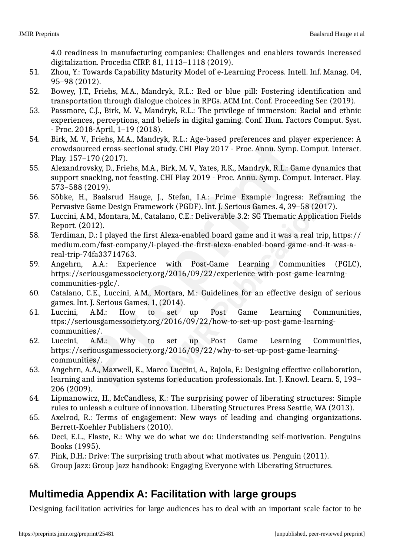4.0 readiness in manufacturing companies: Challenges and enablers towards increased digitalization. Procedia CIRP. 81, 1113–1118 (2019).

- 51. Zhou, Y.: Towards Capability Maturity Model of e-Learning Process. Intell. Inf. Manag. 04, 95–98 (2012).
- 52. Bowey, J.T., Friehs, M.A., Mandryk, R.L.: Red or blue pill: Fostering identification and transportation through dialogue choices in RPGs. ACM Int. Conf. Proceeding Ser. (2019).
- 53. Passmore, C.J., Birk, M. V., Mandryk, R.L.: The privilege of immersion: Racial and ethnic experiences, perceptions, and beliefs in digital gaming. Conf. Hum. Factors Comput. Syst. - Proc. 2018-April, 1–19 (2018).
- 54. Birk, M. V., Friehs, M.A., Mandryk, R.L.: Age-based preferences and player experience: A crowdsourced cross-sectional study. CHI Play 2017 - Proc. Annu. Symp. Comput. Interact. Play. 157–170 (2017).
- 55. Alexandrovsky, D., Friehs, M.A., Birk, M. V., Yates, R.K., Mandryk, R.L.: Game dynamics that support snacking, not feasting. CHI Play 2019 - Proc. Annu. Symp. Comput. Interact. Play. 573–588 (2019).
- 56. Söbke, H., Baalsrud Hauge, J., Stefan, I.A.: Prime Example Ingress: Reframing the Pervasive Game Design Framework (PGDF). Int. J. Serious Games. 4, 39–58 (2017).
- 57. Luccini, A.M., Montara, M., Catalano, C.E.: Deliverable 3.2: SG Thematic Application Fields Report. (2012).
- 58. Terdiman, D.: I played the first Alexa-enabled board game and it was a real trip, https:// medium.com/fast-company/i-played-the-first-alexa-enabled-board-game-and-it-was-areal-trip-74fa33714763.
- 59. Angehrn, A.A.: Experience with Post-Game Learning Communities (PGLC), https://seriousgamessociety.org/2016/09/22/experience-with-post-game-learningcommunities-pglc/.
- 60. Catalano, C.E., Luccini, A.M., Mortara, M.: Guidelines for an effective design of serious games. Int. J. Serious Games. 1, (2014).
- 61. Luccini, A.M.: How to set up Post Game Learning Communities, ttps://seriousgamessociety.org/2016/09/22/how-to-set-up-post-game-learningcommunities/.
- 62. Luccini, A.M.: Why to set up Post Game Learning Communities, https://seriousgamessociety.org/2016/09/22/why-to-set-up-post-game-learningcommunities/.
- 63. Angehrn, A.A., Maxwell, K., Marco Luccini, A., Rajola, F.: Designing effective collaboration, learning and innovation systems for education professionals. Int. J. Knowl. Learn. 5, 193– 206 (2009).
- 64. Lipmanowicz, H., McCandless, K.: The surprising power of liberating structures: Simple rules to unleash a culture of innovation. Liberating Structures Press Seattle, WA (2013).
- 65. Axelrod, R.: Terms of engagement: New ways of leading and changing organizations. Berrett-Koehler Publishers (2010).
- 66. Deci, E.L., Flaste, R.: Why we do what we do: Understanding self-motivation. Penguins Books (1995).
- 67. Pink, D.H.: Drive: The surprising truth about what motivates us. Penguin (2011).
- 68. Group Jazz: Group Jazz handbook: Engaging Everyone with Liberating Structures.

## **Multimedia Appendix A: Facilitation with large groups**

Designing facilitation activities for large audiences has to deal with an important scale factor to be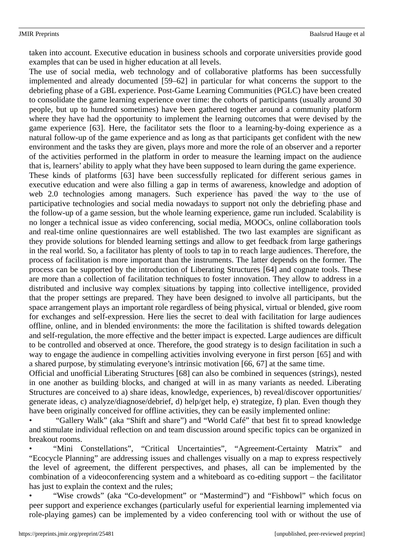taken into account. Executive education in business schools and corporate universities provide good examples that can be used in higher education at all levels.

The use of social media, web technology and of collaborative platforms has been successfully implemented and already documented [59–62] in particular for what concerns the support to the debriefing phase of a GBL experience. Post-Game Learning Communities (PGLC) have been created to consolidate the game learning experience over time: the cohorts of participants (usually around 30 people, but up to hundred sometimes) have been gathered together around a community platform where they have had the opportunity to implement the learning outcomes that were devised by the game experience [63]. Here, the facilitator sets the floor to a learning-by-doing experience as a natural follow-up of the game experience and as long as that participants get confident with the new environment and the tasks they are given, plays more and more the role of an observer and a reporter of the activities performed in the platform in order to measure the learning impact on the audience that is, learners' ability to apply what they have been supposed to learn during the game experience.

These kinds of platforms [63] have been successfully replicated for different serious games in executive education and were also filling a gap in terms of awareness, knowledge and adoption of web 2.0 technologies among managers. Such experience has paved the way to the use of participative technologies and social media nowadays to support not only the debriefing phase and the follow-up of a game session, but the whole learning experience, game run included. Scalability is no longer a technical issue as video conferencing, social media, MOOCs, online collaboration tools and real-time online questionnaires are well established. The two last examples are significant as they provide solutions for blended learning settings and allow to get feedback from large gatherings in the real world. So, a facilitator has plenty of tools to tap in to reach large audiences. Therefore, the process of facilitation is more important than the instruments. The latter depends on the former. The process can be supported by the introduction of Liberating Structures [64] and cognate tools. These are more than a collection of facilitation techniques to foster innovation. They allow to address in a distributed and inclusive way complex situations by tapping into collective intelligence, provided that the proper settings are prepared. They have been designed to involve all participants, but the space arrangement plays an important role regardless of being physical, virtual or blended, give room for exchanges and self-expression. Here lies the secret to deal with facilitation for large audiences offline, online, and in blended environments: the more the facilitation is shifted towards delegation and self-regulation, the more effective and the better impact is expected. Large audiences are difficult to be controlled and observed at once. Therefore, the good strategy is to design facilitation in such a way to engage the audience in compelling activities involving everyone in first person [65] and with a shared purpose, by stimulating everyone's intrinsic motivation [66, 67] at the same time.

Official and unofficial Liberating Structures [68] can also be combined in sequences (strings), nested in one another as building blocks, and changed at will in as many variants as needed. Liberating Structures are conceived to a) share ideas, knowledge, experiences, b) reveal/discover opportunities/ generate ideas, c) analyze/diagnose/debrief, d) help/get help, e) strategize, f) plan. Even though they have been originally conceived for offline activities, they can be easily implemented online:

• "Gallery Walk" (aka "Shift and share") and "World Café" that best fit to spread knowledge and stimulate individual reflection on and team discussion around specific topics can be organized in breakout rooms.

• "Mini Constellations", "Critical Uncertainties", "Agreement-Certainty Matrix" and "Ecocycle Planning" are addressing issues and challenges visually on a map to express respectively the level of agreement, the different perspectives, and phases, all can be implemented by the combination of a videoconferencing system and a whiteboard as co-editing support – the facilitator has just to explain the context and the rules;

• "Wise crowds" (aka "Co-development" or "Mastermind") and "Fishbowl" which focus on peer support and experience exchanges (particularly useful for experiential learning implemented via role-playing games) can be implemented by a video conferencing tool with or without the use of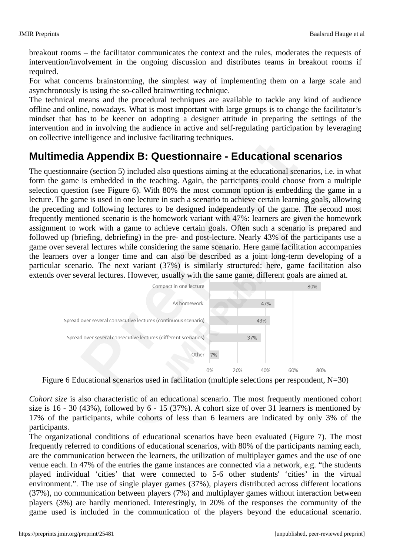breakout rooms – the facilitator communicates the context and the rules, moderates the requests of intervention/involvement in the ongoing discussion and distributes teams in breakout rooms if required.

For what concerns brainstorming, the simplest way of implementing them on a large scale and asynchronously is using the so-called brainwriting technique.

The technical means and the procedural techniques are available to tackle any kind of audience offline and online, nowadays. What is most important with large groups is to change the facilitator's mindset that has to be keener on adopting a designer attitude in preparing the settings of the intervention and in involving the audience in active and self-regulating participation by leveraging on collective intelligence and inclusive facilitating techniques.

# **Multimedia Appendix B: Questionnaire - Educational scenarios**

The questionnaire (section 5) included also questions aiming at the educational scenarios, i.e. in what form the game is embedded in the teaching. Again, the participants could choose from a multiple selection question (see Figure 6). With 80% the most common option is embedding the game in a lecture. The game is used in one lecture in such a scenario to achieve certain learning goals, allowing the preceding and following lectures to be designed independently of the game. The second most frequently mentioned scenario is the homework variant with 47%: learners are given the homework assignment to work with a game to achieve certain goals. Often such a scenario is prepared and followed up (briefing, debriefing) in the pre- and post-lecture. Nearly 43% of the participants use a game over several lectures while considering the same scenario. Here game facilitation accompanies the learners over a longer time and can also be described as a joint long-term developing of a particular scenario. The next variant (37%) is similarly structured: here, game facilitation also extends over several lectures. However, usually with the same game, different goals are aimed at.



Figure 6 Educational scenarios used in facilitation (multiple selections per respondent, N=30)

*Cohort size* is also characteristic of an educational scenario. The most frequently mentioned cohort size is 16 - 30 (43%), followed by 6 - 15 (37%). A cohort size of over 31 learners is mentioned by 17% of the participants, while cohorts of less than 6 learners are indicated by only 3% of the participants.

The organizational conditions of educational scenarios have been evaluated (Figure 7). The most frequently referred to conditions of educational scenarios, with 80% of the participants naming each, are the communication between the learners, the utilization of multiplayer games and the use of one venue each. In 47% of the entries the game instances are connected via a network, e.g. "the students played individual 'cities' that were connected to 5-6 other students' 'cities' in the virtual environment.". The use of single player games (37%), players distributed across different locations (37%), no communication between players (7%) and multiplayer games without interaction between players (3%) are hardly mentioned. Interestingly, in 20% of the responses the community of the game used is included in the communication of the players beyond the educational scenario.